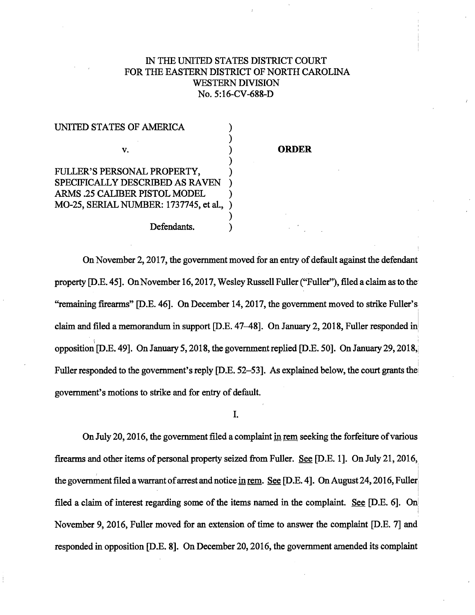## IN THE UNITED STATES DISTRICT COURT FOR THE EASTERN DISTRICT OF NORTH CAROLINA WESTERN DIVISION No. 5:16-CV-688-D

[United States of America v. Fuller's Personal Property et al](https://dockets.justia.com/docket/north-carolina/ncedce/5:2016cv00688/151835/)  $P$  et al.  $P$  et al.  $P$  et al.  $P$  et al.  $P$ 

| UNITED STATES OF AMERICA               |  |
|----------------------------------------|--|
|                                        |  |
| V.                                     |  |
|                                        |  |
| FULLER'S PERSONAL PROPERTY,            |  |
| SPECIFICALLY DESCRIBED AS RAVEN        |  |
| ARMS .25 CALIBER PISTOL MODEL          |  |
| MO-25, SERIAL NUMBER: 1737745, et al., |  |
|                                        |  |
| Defendants.                            |  |

## **ORDER**

On November 2, 2017, the government moved for an entry of default against the defendant property [D.E. 45]. On November 16, 2017, Wesley Russell Fuller ("Fuller"), filed a claim as to the· "remaining firearms" [D.E. 46]. On December 14, 2017, the government moved to strike Fuller's claim and filed a memorandum in support [D.E. 47–48]. On January 2, 2018, Fuller responded in opposition [D.E. 49]. On January 5, 2018, the government replied [D.E. 50]. On January 29, 2018, Fuller responded to the government's reply [D.E. 52–53]. As explained below, the court grants the government's motions to strike and for entry of default.

I.

On July 20, 2016, the government filed a complaint in rem seeking the forfeiture of various firearms and other items of personal property seized from Fuller. See [D.E. 1]. On July 21,2016, I I the government filed a warrant of arrest and notice in rem. See [D.E. 4]. On August 24, 2016, Fuller i I filed a claim of interest regarding some of the items named in the complaint. See [D.E. 6]. On I November 9, 2016, Fuller moved for an extension of time to answer the complaint [D.E. 7] and responded in opposition [D.E. 8]. On December 20, 2016, the government amended its complaint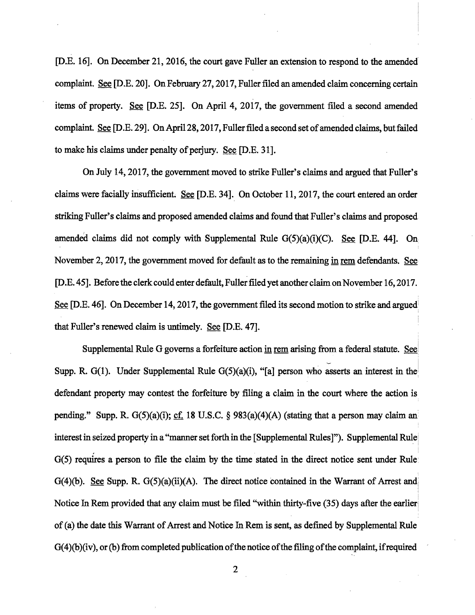[D.E. 16]. On December 21, 2016, the court gave Fuller an extension to respond to the amended' complaint. See [D.E. 20]. On February 27, 2017, Fuller filed an amended claim concerning certain items of property. See [D.E. 25]. On April 4, 2017, the government filed a second amended complaint. See [D.E. 29]. On April28, 2017, Fuller filed a second set of amended claims, but failed to make his claims under penalty of perjury. See [D.E. 31].

On July 14,2017, the government moved to strike Fuller's claims and argued that Fuller's claims were facially insufficient. See [D.E. 34]. On October 11, 2017, the court entered an order striking Fuller's claims and proposed amended claims and found that Fuller's claims and proposed amended claims did not comply with Supplemental Rule G(5)(a)(i)(C). See [D.E. 44]. On November 2, 2017, the government moved for default as to the remaining in rem defendants. See [D .E. 45]. Before the clerk could enter default, Fuller filed yet another claim on November 16, 2017. ' See [D.E. 46]. On December 14, 2017, the government filed its second motion to strike and argued I that Fuller's renewed claim is untimely. See [D.E. 47].

Supplemental Rule G governs a forfeiture action in rem arising from a federal statute. See Supp. R. G(1). Under Supplemental Rule G(5)(a)(i), "[a] person who asserts an interest in the defendant property may contest the forfeiture by filing a claim in the court where the action is pending." Supp. R. G(5)(a)(i); cf. 18 U.S.C. § 983(a)(4)(A) (stating that a person may claim an interest in seized property in a "manner set forth in the [Supplemental Rules]"). Supplemental Rule i G(5) requires a person to file the claim by the time stated in the direct notice sent under Rule: G(4)(b). See Supp. R. G(5)(a)(ii)(A). The direct notice contained in the Warrant of Arrest and I i Notice In Rem provided that any claim must be filed "within thirty-five (35) days after the earlier of(a) the date this Warrant of Arrest and Notice In Rem is sent, as defined by Supplemental Rule  $G(4)(b)(iv)$ , or (b) from completed publication of the notice of the filing of the complaint, if required

2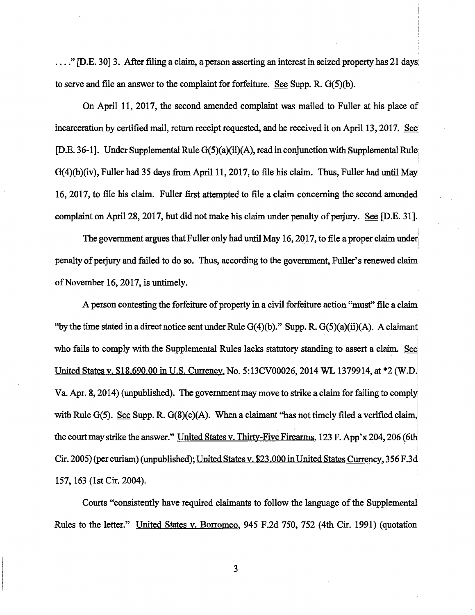.... " [D.E. 30] 3. After filing a claim, a person asserting an interest in seized property has 21 days: to serve and file an answer to the complaint for forfeiture. See Supp. R.  $G(5)(b)$ .

On April 11, 2017, the second amended complaint was mailed to Fuller at his place of incarceration by certified mail, return receipt requested, and he received it on April 13, 2017. See [D.E. 36-1]. Under Supplemental Rule  $G(5)(a)(ii)(A)$ , read in conjunction with Supplemental Rule;  $G(4)(b)(iv)$ , Fuller had 35 days from April 11, 2017, to file his claim. Thus, Fuller had until May 16, 2017, to file his claim. Fuller first attempted to file a claim concerning the second amended complaint on April 28, 2017, but did not make his claim under penalty of perjury. See [D.E. 31].

The government argues that Fuller only had until May 16, 2017, to file a proper claim under I penalty of perjury and failed to do so. Thus, according to the government, Fuller's renewed claim of November 16, 2017, is untimely.

A person contesting the forfeiture of property in a civil forfeiture action "must" file a claim "by the time stated in a direct notice sent under Rule  $G(4)(b)$ ." Supp. R.  $G(5)(a)(ii)(A)$ . A claimant ' i who fails to comply with the Supplemental Rules lacks statutory standing to assert a claim. See United States v. \$18,690.00 in U.S. Currency, No. 5:13CV00026, 2014 WL 1379914, at \*2 (W.D. Va. Apr. 8, 2014) (unpublished). The government may move to strike a claim for failing to comply with Rule G(5). See Supp. R. G(8)( $c$ )(A). When a claimant "has not timely filed a verified claim, I the court may strike the answer." United States v. Thirty-Five Firearms, 123 F. App'x 204, 206 (6th Cir. 2005) (per curiam) (unpublished); United States v. \$23.000 in United States Currency, 356 F.3d' 157, 163 (1st Cir. 2004).

Courts "consistently have required claimants to follow the language of the Supplemental Rules to the letter." United States v. Borromeo, 945 F.2d 750, 752 (4th Cir. 1991) (quotation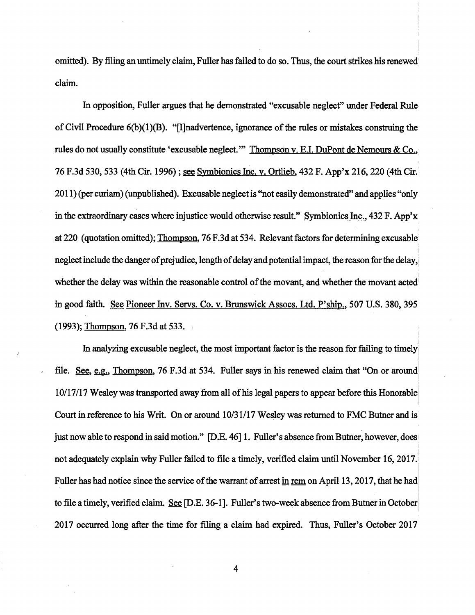omitted). By filing an untimely claim, Fuller has failed to do so. Thus, the court strikes his renewed claim.

In opposition, Fuller argues that he demonstrated "excusable neglect" under Federal Rule of Civil Procedure 6(b)(1)(B). "[I]nadvertence, ignorance of the rules or mistakes construing the rules do not usually constitute 'excusable neglect."' Thompson v. E.I. DuPont de Nemours & Co., 76 F.3d 530, 533 (4th Cir. 1996); see Symbionics Inc. v. Ortlieb, 432 F. App'x 216, 220 (4th Cir.' 2011) (per curiam) (unpublished). Excusable neglect is "not easily demonstrated" and applies "only in the extraordinary cases where injustice would otherwise result." Symbionics Inc., 432 F. App'x at 220 (quotation omitted); Thompson, 76 F .3d at 534. Relevant factors for determining excusable neglect include the danger of prejudice, length of delay and potential impact, the reason for the delay,! <sup>I</sup> i whether the delay was within the reasonable control of the movant, and whether the movant acted in good faith. See Pioneer Inv. Servs. Co. v. Brunswick Assocs. Ltd. P'ship., 507 U.S. 380, 395  $(1993)$ ; Thompson, 76 F.3d at 533.

In analyzing excusable neglect, the most important factor is the reason for failing to timelyi I file. See, e.g., Thompson, 76 F.3d at 534. Fuller says in his renewed claim that "On or around" 10/17117 Wesley was transported away from all of his legal papers to appear before this Honorablei I Court in reference to his Writ. On or around 10/31/17 Wesley was returned to FMC Butner and is just now able to respond in said motion." [D.E. 46] 1. Fuller's absence from Butner, however, does I not adequately explain why Fuller failed to file a timely, verified claim until November 16, 2017.! Fuller has had notice since the service of the warrant of arrest in rem on April 13, 2017, that he had  $\mathbf{I}$ to file a timely, verified claim. See [D.E. 36-1]. Fuller's two-week absence from Butner in October) I 2017 occurred long after the time for filing a claim had expired. Thus, Fuller's October 2017

l

4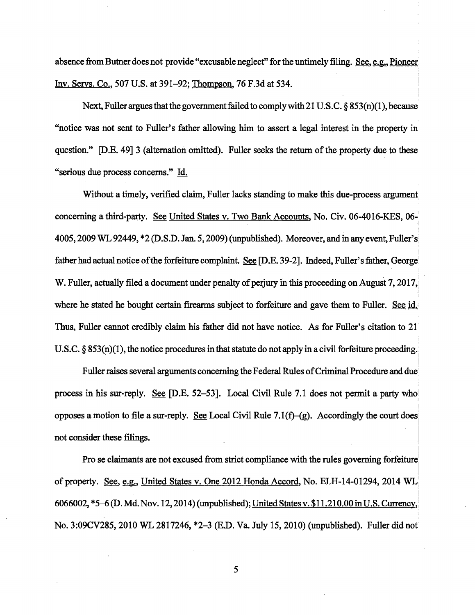absence from Butner does not provide "excusable neglect" for the untimely filing. See, e.g., Pioneer Inv. Servs. Co., 507 U.S. at 391-92; Thompson, 76 F.3d at 534.

Next, Fuller argues that the government failed to comply with 21 U.S.C. § 853(n)(1), because "notice was not sent to Fuller's father allowing him to assert a legal interest in the property in question." [D.E. 49] 3 (alternation omitted). Fuller seeks the return of the property due to these "serious due process concerns." Id.

Without a timely, verified claim, Fuller lacks standing to make this due-process argument concerning a third-party. See United States v. Two Bank Accounts, No. Civ. 06-4016-KES, 06-1 I 4005, 2009 WL 92449, \*2 (D.S.D. Jan. 5, 2009) (unpublished). Moreover, and in any event, Fuller's; father had actual notice of the forfeiture complaint. See [D.E. 39-2]. Indeed, Fuller's father, George W. Fuller, actually filed a document under penalty of perjury in this proceeding on August 7, 2017, where he stated he bought certain firearms subject to forfeiture and gave them to Fuller. See id. Thus, Fuller cannot credibly claim his father did not have notice. As for Fuller's citation to 21· U.S.C.  $\S 853(n)(1)$ , the notice procedures in that statute do not apply in a civil forfeiture proceeding.

Fuller raises several arguments concerning the Federal Rules of Criminal Procedure and due' process in his sur-reply. See [D.E. 52–53]. Local Civil Rule 7.1 does not permit a party who opposes a motion to file a sur-reply. See Local Civil Rule 7.1 $(f)$ -(g). Accordingly the court does not consider these filings.

i

I

Pro se claimants are not excused from strict compliance with the rules governing forfeiture of property. See, e.g., United States v. One 2012 Honda Accord, No. ELH-14-01294, 2014 WL: 6066002, \*5–6 (D. Md. Nov. 12, 2014) (unpublished); <u>United States v. \$11,210.00 in U.S. Currency,</u> No. 3:09CV285, 2010 WL2817246, \*2-3 (E.D. Va. July 15, 2010) (unpublished). Fuller did not